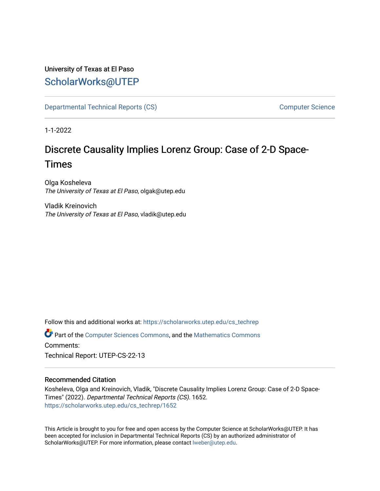# University of Texas at El Paso [ScholarWorks@UTEP](https://scholarworks.utep.edu/)

[Departmental Technical Reports \(CS\)](https://scholarworks.utep.edu/cs_techrep) [Computer Science](https://scholarworks.utep.edu/computer) 

1-1-2022

# Discrete Causality Implies Lorenz Group: Case of 2-D Space-Times

Olga Kosheleva The University of Texas at El Paso, olgak@utep.edu

Vladik Kreinovich The University of Texas at El Paso, vladik@utep.edu

Follow this and additional works at: [https://scholarworks.utep.edu/cs\\_techrep](https://scholarworks.utep.edu/cs_techrep?utm_source=scholarworks.utep.edu%2Fcs_techrep%2F1652&utm_medium=PDF&utm_campaign=PDFCoverPages) 

Part of the [Computer Sciences Commons](http://network.bepress.com/hgg/discipline/142?utm_source=scholarworks.utep.edu%2Fcs_techrep%2F1652&utm_medium=PDF&utm_campaign=PDFCoverPages), and the [Mathematics Commons](http://network.bepress.com/hgg/discipline/174?utm_source=scholarworks.utep.edu%2Fcs_techrep%2F1652&utm_medium=PDF&utm_campaign=PDFCoverPages)  Comments:

Technical Report: UTEP-CS-22-13

# Recommended Citation

Kosheleva, Olga and Kreinovich, Vladik, "Discrete Causality Implies Lorenz Group: Case of 2-D Space-Times" (2022). Departmental Technical Reports (CS). 1652. [https://scholarworks.utep.edu/cs\\_techrep/1652](https://scholarworks.utep.edu/cs_techrep/1652?utm_source=scholarworks.utep.edu%2Fcs_techrep%2F1652&utm_medium=PDF&utm_campaign=PDFCoverPages) 

This Article is brought to you for free and open access by the Computer Science at ScholarWorks@UTEP. It has been accepted for inclusion in Departmental Technical Reports (CS) by an authorized administrator of ScholarWorks@UTEP. For more information, please contact [lweber@utep.edu](mailto:lweber@utep.edu).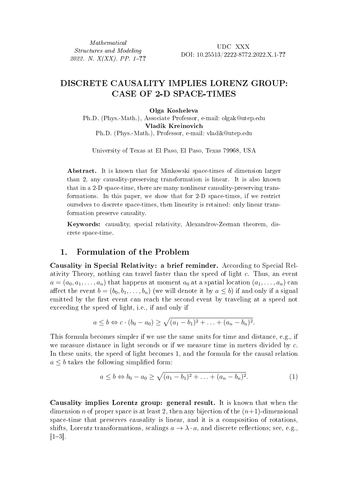Mathematical Structures and Modeling 2022. N. X(XX). PP. 1–??

UDC XXX DOI: 10.25513/2222-8772.2022.X.1-??

# DISCRETE CAUSALITY IMPLIES LORENZ GROUP: CASE OF 2-D SPACE-TIMES

#### Olga Kosheleva

Ph.D. (Phys.-Math.), Associate Professor, e-mail: olgak@utep.edu Vladik Kreinovich Ph.D. (Phys.-Math.), Professor, e-mail: vladik@utep.edu

University of Texas at El Paso, El Paso, Texas 79968, USA

Abstract. It is known that for Minkowski space-times of dimension larger than 2, any causality-preserving transformation is linear. It is also known that in a 2-D space-time, there are many nonlinear causality-preserving transformations. In this paper, we show that for 2-D space-times, if we restrict ourselves to discrete space-times, then linearity is retained: only linear transformation preserve causality.

Keywords: causality, special relativity, Alexandrov-Zeeman theorem, discrete space-time.

# 1. Formulation of the Problem

Causality in Special Relativity: a brief reminder. According to Special Relativity Theory, nothing can travel faster than the speed of light  $c$ . Thus, an event  $a = (a_0, a_1, \ldots, a_n)$  that happens at moment  $a_0$  at a spatial location  $(a_1, \ldots, a_n)$  can affect the event  $b = (b_0, b_1, \ldots, b_n)$  (we will denote it by  $a \leq b$ ) if and only if a signal emitted by the first event can reach the second event by traveling at a speed not exceeding the speed of light, i.e., if and only if

$$
a \leq b \Leftrightarrow c \cdot (b_0 - a_0) \geq \sqrt{(a_1 - b_1)^2 + \ldots + (a_n - b_n)^2}.
$$

This formula becomes simpler if we use the same units for time and distance, e.g., if we measure distance in light seconds or if we measure time in meters divided by  $c$ . In these units, the speed of light becomes 1, and the formula for the causal relation  $a \leq b$  takes the following simplified form:

$$
a \le b \Leftrightarrow b_0 - a_0 \ge \sqrt{(a_1 - b_1)^2 + \ldots + (a_n - b_n)^2}.
$$
 (1)

Causality implies Lorentz group: general result. It is known that when the dimension *n* of proper space is at least 2, then any bijection of the  $(n+1)$ -dimensional space-time that preserves causality is linear, and it is a composition of rotations, shifts, Lorentz transformations, scalings  $a \to \lambda \cdot a$ , and discrete reflections; see, e.g.,  $[1-3]$ .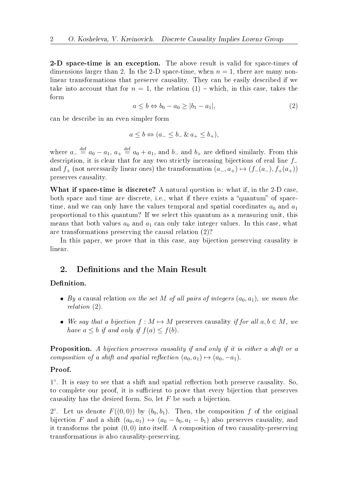2-D space-time is an exception. The above result is valid for space-times of dimensions larger than 2. In the 2-D space-time, when  $n = 1$ , there are many nonlinear transformations that preserve causality. They can be easily described if we take into account that for  $n = 1$ , the relation  $(1)$  – which, in this case, takes the form

$$
a \le b \Leftrightarrow b_0 - a_0 \ge |b_1 - a_1|,\tag{2}
$$

can be describe in an even simpler form

$$
a \le b \Leftrightarrow (a_- \le b_- \& a_+ \le b_+),
$$

where  $a_{-} \stackrel{\text{def}}{=} a_0 - a_1, a_{+} \stackrel{\text{def}}{=} a_0 + a_1$ , and  $b_{-}$  and  $b_{+}$  are defined similarly. From this description, it is clear that for any two strictly increasing bijections of real line  $f$ and  $f_+$  (not necessarily linear ones) the transformation  $(a_-, a_+) \mapsto (f_-(a_-), f_+(a_+))$ preserves causality.

What if space-time is discrete? A natural question is: what if, in the 2-D case, both space and time are discrete, i.e., what if there exists a "quantum" of spacetime, and we can only have the values temporal and spatial coordinates  $a_0$  and  $a_1$ proportional to this quantum? If we select this quantum as a measuring unit, this means that both values  $a_0$  and  $a_1$  can only take integer values. In this case, what are transformations preserving the causal relation (2)?

In this paper, we prove that in this case, any bijection preserving causality is linear.

# 2. Definitions and the Main Result

# Definition.

- By a causal relation on the set M of all pairs of integers  $(a_0, a_1)$ , we mean the relation (2).
- We say that a bijection  $f : M \mapsto M$  preserves causality if for all  $a, b \in M$ , we have  $a \leq b$  if and only if  $f(a) \leq f(b)$ .

Proposition. A bijection preserves causality if and only if it is either a shift or a composition of a shift and spatial reflection  $(a_0, a_1) \mapsto (a_0, -a_1)$ .

#### Proof.

1 ∘ . It is easy to see that a shift and spatial reflection both preserve causality. So, to complete our proof, it is sufficient to prove that every bijection that preserves causality has the desired form. So, let  $F$  be such a bijection.

2°. Let us denote  $F((0,0))$  by  $(b_0, b_1)$ . Then, the composition f of the original bijection F and a shift  $(a_0, a_1) \mapsto (a_0 - b_0, a_1 - b_1)$  also preserves causality, and it transforms the point (0, 0) into itself. A composition of two causality-preserving transformations is also causality-preserving.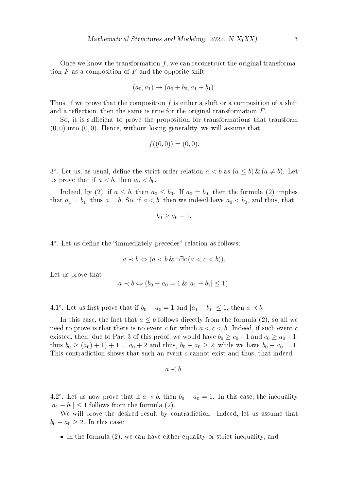Once we know the transformation  $f$ , we can reconstruct the original transformation  $F$  as a composition of  $F$  and the opposite shift

$$
(a_0, a_1) \mapsto (a_0 + b_0, a_1 + b_1).
$$

Thus, if we prove that the composition  $f$  is either a shift or a composition of a shift and a reflection, then the same is true for the original transformation  $F$ .

So, it is sufficient to prove the proposition for transformations that transform  $(0, 0)$  into  $(0, 0)$ . Hence, without losing generality, we will assume that

$$
f((0,0)) = (0,0).
$$

3°. Let us, as usual, define the strict order relation  $a < b$  as  $(a \le b) \& (a \ne b)$ . Let us prove that if  $a < b$ , then  $a_0 < b_0$ .

Indeed, by (2), if  $a \leq b$ , then  $a_0 \leq b_0$ . If  $a_0 = b_0$ , then the formula (2) implies that  $a_1 = b_1$ , thus  $a = b$ . So, if  $a < b$ , then we indeed have  $a_0 < b_0$ , and thus, that

$$
b_0 \ge a_0 + 1.
$$

4 ∘ . Let us define the "immediately precedes" relation as follows:

$$
a \prec b \Leftrightarrow (a < b \& \neg \exists c \, (a < c < b)).
$$

Let us prove that

$$
a \prec b \Leftrightarrow (b_0 - a_0 = 1 \& |a_1 - b_1| \le 1).
$$

4.1°. Let us first prove that if  $b_0 - a_0 = 1$  and  $|a_1 - b_1| \leq 1$ , then  $a \prec b$ .

In this case, the fact that  $a \leq b$  follows directly from the formula (2), so all we need to prove is that there is no event c for which  $a < c < b$ . Indeed, if such event c existed, then, due to Part 3 of this proof, we would have  $b_0 \ge c_0 + 1$  and  $c_0 \ge a_0 + 1$ , thus  $b_0 \ge (a_0) + 1$  + 1 =  $a_0 + 2$  and thus,  $b_0 - a_0 \ge 2$ , while we have  $b_0 - a_0 = 1$ . This contradiction shows that such an event  $c$  cannot exist and thus, that indeed

$$
a \prec b.
$$

4.2°. Let us now prove that if  $a \prec b$ , then  $b_0 - a_0 = 1$ . In this case, the inequality  $|a_1 - b_1|$  < 1 follows from the formula (2).

We will prove the desired result by contradiction. Indeed, let us assume that  $b_0 - a_0 \geq 2$ . In this case:

 $\bullet$  in the formula (2), we can have either equality or strict inequality, and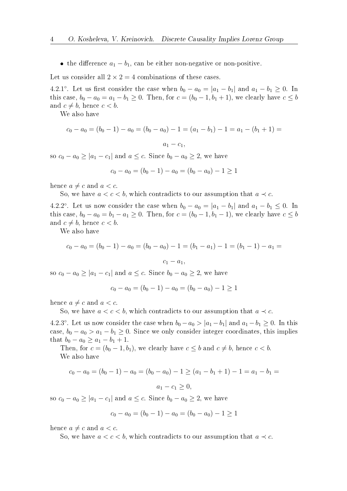• the difference  $a_1 - b_1$ , can be either non-negative or non-positive.

Let us consider all  $2 \times 2 = 4$  combinations of these cases.

4.2.1°. Let us first consider the case when  $b_0 - a_0 = |a_1 - b_1|$  and  $a_1 - b_1 \ge 0$ . In this case,  $b_0 - a_0 = a_1 - b_1 \ge 0$ . Then, for  $c = (b_0 - 1, b_1 + 1)$ , we clearly have  $c \le b$ and  $c \neq b$ , hence  $c < b$ .

We also have

$$
c_0 - a_0 = (b_0 - 1) - a_0 = (b_0 - a_0) - 1 = (a_1 - b_1) - 1 = a_1 - (b_1 + 1) =
$$

$$
a_1-c_1,
$$

so  $c_0 - a_0 \geq |a_1 - c_1|$  and  $a \leq c$ . Since  $b_0 - a_0 \geq 2$ , we have

$$
c_0 - a_0 = (b_0 - 1) - a_0 = (b_0 - a_0) - 1 \ge 1
$$

hence  $a \neq c$  and  $a < c$ .

So, we have  $a < c < b$ , which contradicts to our assumption that  $a \prec c$ .

4.2.2°. Let us now consider the case when  $b_0 - a_0 = |a_1 - b_1|$  and  $a_1 - b_1 \leq 0$ . In this case,  $b_0 - a_0 = b_1 - a_1 \ge 0$ . Then, for  $c = (b_0 - 1, b_1 - 1)$ , we clearly have  $c \le b$ and  $c \neq b$ , hence  $c < b$ .

We also have

$$
c_0 - a_0 = (b_0 - 1) - a_0 = (b_0 - a_0) - 1 = (b_1 - a_1) - 1 = (b_1 - 1) - a_1 =
$$
  

$$
c_1 - a_1,
$$

so  $c_0 - a_0 \ge |a_1 - c_1|$  and  $a \le c$ . Since  $b_0 - a_0 \ge 2$ , we have

$$
c_0 - a_0 = (b_0 - 1) - a_0 = (b_0 - a_0) - 1 \ge 1
$$

hence  $a \neq c$  and  $a < c$ .

So, we have  $a < c < b$ , which contradicts to our assumption that  $a \prec c$ .

4.2.3°. Let us now consider the case when  $b_0 - a_0 > |a_1 - b_1|$  and  $a_1 - b_1 \ge 0$ . In this case,  $b_0 - a_0 > a_1 - b_1 \geq 0$ . Since we only consider integer coordinates, this implies that  $b_0 - a_0 \ge a_1 - b_1 + 1$ .

Then, for  $c = (b_0 - 1, b_1)$ , we clearly have  $c \leq b$  and  $c \neq b$ , hence  $c < b$ . We also have

$$
c_0 - a_0 = (b_0 - 1) - a_0 = (b_0 - a_0) - 1 \ge (a_1 - b_1 + 1) - 1 = a_1 - b_1 = a_1 - a_1 \ge 0,
$$

so  $c_0 - a_0 \geq |a_1 - c_1|$  and  $a \leq c$ . Since  $b_0 - a_0 \geq 2$ , we have

$$
c_0 - a_0 = (b_0 - 1) - a_0 = (b_0 - a_0) - 1 \ge 1
$$

hence  $a \neq c$  and  $a < c$ .

So, we have  $a < c < b$ , which contradicts to our assumption that  $a \prec c$ .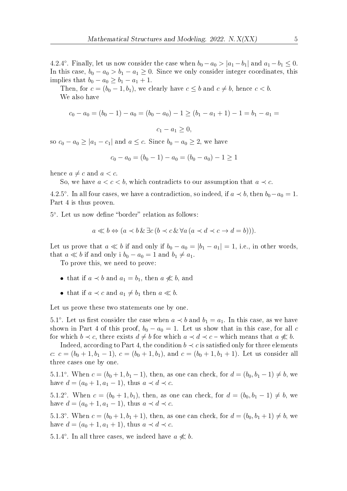4.2.4°. Finally, let us now consider the case when  $b_0 - a_0 > |a_1 - b_1|$  and  $a_1 - b_1 \le 0$ . In this case,  $b_0 - a_0 > b_1 - a_1 \geq 0$ . Since we only consider integer coordinates, this implies that  $b_0 - a_0 \ge b_1 - a_1 + 1$ .

Then, for  $c = (b_0 - 1, b_1)$ , we clearly have  $c \leq b$  and  $c \neq b$ , hence  $c < b$ . We also have

$$
c_0 - a_0 = (b_0 - 1) - a_0 = (b_0 - a_0) - 1 \ge (b_1 - a_1 + 1) - 1 = b_1 - a_1 =
$$
  

$$
c_1 - a_1 \ge 0,
$$

so  $c_0 - a_0 \geq |a_1 - c_1|$  and  $a \leq c$ . Since  $b_0 - a_0 \geq 2$ , we have

$$
c_0 - a_0 = (b_0 - 1) - a_0 = (b_0 - a_0) - 1 \ge 1
$$

hence  $a \neq c$  and  $a < c$ .

So, we have  $a < c < b$ , which contradicts to our assumption that  $a \prec c$ .

4.2.5°. In all four cases, we have a contradiction, so indeed, if  $a \prec b$ , then  $b_0 - a_0 = 1$ . Part 4 is thus proven.

5 ∘ . Let us now define "border" relation as follows:

$$
a \ll b \Leftrightarrow (a \prec b \& \exists c \,(b \prec c \& \forall a \,(a \prec d \prec c \rightarrow d = b))).
$$

Let us prove that  $a \ll b$  if and only if  $b_0 - a_0 = |b_1 - a_1| = 1$ , i.e., in other words, that  $a \ll b$  if and only i  $b_0 - a_0 = 1$  and  $b_1 \neq a_1$ .

To prove this, we need to prove:

- that if  $a \prec b$  and  $a_1 = b_1$ , then  $a \not\ll b$ , and
- that if  $a \prec c$  and  $a_1 \neq b_1$  then  $a \ll b$ .

Let us prove these two statements one by one.

5.1°. Let us first consider the case when  $a \prec b$  and  $b_1 = a_1$ . In this case, as we have shown in Part 4 of this proof,  $b_0 - a_0 = 1$ . Let us show that in this case, for all c for which  $b \prec c$ , there exists  $d \neq b$  for which  $a \prec d \prec c$  – which means that  $a \not\ll b$ .

Indeed, according to Part 4, the condition  $b \prec c$  is satisfied only for three elements c:  $c = (b_0 + 1, b_1 - 1), c = (b_0 + 1, b_1),$  and  $c = (b_0 + 1, b_1 + 1)$ . Let us consider all three cases one by one.

5.1.1°. When  $c = (b_0 + 1, b_1 - 1)$ , then, as one can check, for  $d = (b_0, b_1 - 1) \neq b$ , we have  $d = (a_0 + 1, a_1 - 1)$ , thus  $a \prec d \prec c$ .

5.1.2°. When  $c = (b_0 + 1, b_1)$ , then, as one can check, for  $d = (b_0, b_1 - 1) \neq b$ , we have  $d = (a_0 + 1, a_1 - 1)$ , thus  $a \prec d \prec c$ .

5.1.3°. When  $c = (b_0 + 1, b_1 + 1)$ , then, as one can check, for  $d = (b_0, b_1 + 1) \neq b$ , we have  $d = (a_0 + 1, a_1 + 1)$ , thus  $a \prec d \prec c$ .

5.1.4°. In all three cases, we indeed have  $a \nless b$ .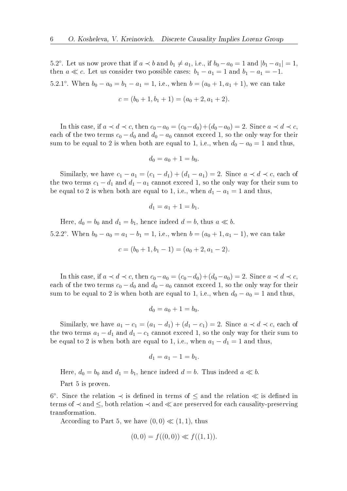5.2°. Let us now prove that if  $a \prec b$  and  $b_1 \neq a_1$ , i.e., if  $b_0 - a_0 = 1$  and  $|b_1 - a_1| = 1$ , then  $a \ll c$ . Let us consider two possible cases:  $b_1 - a_1 = 1$  and  $b_1 - a_1 = -1$ . 5.2.1°. When  $b_0 - a_0 = b_1 - a_1 = 1$ , i.e., when  $b = (a_0 + 1, a_1 + 1)$ , we can take

$$
c = (b_0 + 1, b_1 + 1) = (a_0 + 2, a_1 + 2).
$$

In this case, if  $a \prec d \prec c$ , then  $c_0 - a_0 = (c_0 - d_0) + (d_0 - a_0) = 2$ . Since  $a \prec d \prec c$ , each of the two terms  $c_0 - d_0$  and  $d_0 - a_0$  cannot exceed 1, so the only way for their sum to be equal to 2 is when both are equal to 1, i.e., when  $d_0 - a_0 = 1$  and thus,

$$
d_0 = a_0 + 1 = b_0.
$$

Similarly, we have  $c_1 - a_1 = (c_1 - d_1) + (d_1 - a_1) = 2$ . Since  $a \prec d \prec c$ , each of the two terms  $c_1 - d_1$  and  $d_1 - a_1$  cannot exceed 1, so the only way for their sum to be equal to 2 is when both are equal to 1, i.e., when  $d_1 - a_1 = 1$  and thus,

$$
d_1 = a_1 + 1 = b_1.
$$

Here,  $d_0 = b_0$  and  $d_1 = b_1$ , hence indeed  $d = b$ , thus  $a \ll b$ 5.2.2°. When  $b_0 - a_0 = a_1 - b_1 = 1$ , i.e., when  $b = (a_0 + 1, a_1 - 1)$ , we can take

$$
c = (b_0 + 1, b_1 - 1) = (a_0 + 2, a_1 - 2).
$$

In this case, if  $a \prec d \prec c$ , then  $c_0 - a_0 = (c_0 - d_0) + (d_0 - a_0) = 2$ . Since  $a \prec d \prec c$ , each of the two terms  $c_0 - d_0$  and  $d_0 - a_0$  cannot exceed 1, so the only way for their sum to be equal to 2 is when both are equal to 1, i.e., when  $d_0 - a_0 = 1$  and thus,

$$
d_0 = a_0 + 1 = b_0.
$$

Similarly, we have  $a_1 - c_1 = (a_1 - d_1) + (d_1 - c_1) = 2$ . Since  $a \prec d \prec c$ , each of the two terms  $a_1 - d_1$  and  $d_1 - c_1$  cannot exceed 1, so the only way for their sum to be equal to 2 is when both are equal to 1, i.e., when  $a_1 - d_1 = 1$  and thus,

$$
d_1 = a_1 - 1 = b_1.
$$

Here,  $d_0 = b_0$  and  $d_1 = b_1$ , hence indeed  $d = b$ . Thus indeed  $a \ll b$ .

Part 5 is proven.

6 ∘ . Since the relation ≺ is defined in terms of ≤ and the relation ≪ is defined in terms of ≺ and ≤, both relation ≺ and ≪ are preserved for each causality-preserving transformation.

According to Part 5, we have  $(0, 0) \ll (1, 1)$ , thus

$$
(0,0) = f((0,0)) \ll f((1,1)).
$$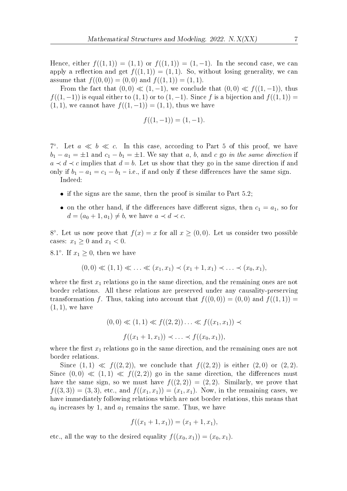Hence, either  $f((1, 1)) = (1, 1)$  or  $f((1, 1)) = (1, -1)$ . In the second case, we can apply a reflection and get  $f((1, 1)) = (1, 1)$ . So, without losing generality, we can assume that  $f((0, 0)) = (0, 0)$  and  $f((1, 1)) = (1, 1)$ .

From the fact that  $(0,0) \ll (1,-1)$ , we conclude that  $(0,0) \ll f((1,-1))$ , thus  $f((1,-1))$  is equal either to  $(1,1)$  or to  $(1,-1)$ . Since f is a bijection and  $f((1,1)) =$  $(1, 1)$ , we cannot have  $f((1, -1)) = (1, 1)$ , thus we have

$$
f((1,-1)) = (1,-1).
$$

7°. Let  $a \ll b \ll c$ . In this case, according to Part 5 of this proof, we have  $b_1 - a_1 = \pm 1$  and  $c_1 - b_1 = \pm 1$ . We say that a, b, and c go in the same direction if  $a \prec d \prec c$  implies that  $d = b$ . Let us show that they go in the same direction if and only if  $b_1 - a_1 = c_1 - b_1 - i.e.,$  if and only if these differences have the same sign. Indeed:

- $\bullet$  if the signs are the same, then the proof is similar to Part 5.2;
- on the other hand, if the differences have different signs, then  $c_1 = a_1$ , so for  $d = (a_0 + 1, a_1) \neq b$ , we have  $a \prec d \prec c$ .

8°. Let us now prove that  $f(x) = x$  for all  $x \ge (0,0)$ . Let us consider two possible cases:  $x_1 \geq 0$  and  $x_1 < 0$ .

8.1°. If  $x_1 \geq 0$ , then we have

$$
(0,0) \ll (1,1) \ll \ldots \ll (x_1,x_1) \prec (x_1+1,x_1) \prec \ldots \prec (x_0,x_1),
$$

where the first  $x_1$  relations go in the same direction, and the remaining ones are not border relations. All these relations are preserved under any causality-preserving transformation f. Thus, taking into account that  $f((0, 0)) = (0, 0)$  and  $f((1, 1)) =$  $(1, 1)$ , we have

$$
(0,0) \ll (1,1) \ll f((2,2)) \ldots \ll f((x_1,x_1)) \prec
$$
  

$$
f((x_1+1,x_1)) \prec \ldots \prec f((x_0,x_1)),
$$

where the first  $x_1$  relations go in the same direction, and the remaining ones are not border relations.

Since  $(1, 1) \ll f((2, 2))$ , we conclude that  $f((2, 2))$  is either  $(2, 0)$  or  $(2, 2)$ . Since  $(0,0) \ll (1,1) \ll f((2,2))$  go in the same direction, the differences must have the same sign, so we must have  $f((2, 2)) = (2, 2)$ . Similarly, we prove that  $f((3, 3)) = (3, 3)$ , etc., and  $f((x_1, x_1)) = (x_1, x_1)$ . Now, in the remaining cases, we have immediately following relations which are not border relations, this means that  $a_0$  increases by 1, and  $a_1$  remains the same. Thus, we have

$$
f((x_1+1,x_1))=(x_1+1,x_1),
$$

etc., all the way to the desired equality  $f((x_0, x_1)) = (x_0, x_1).$